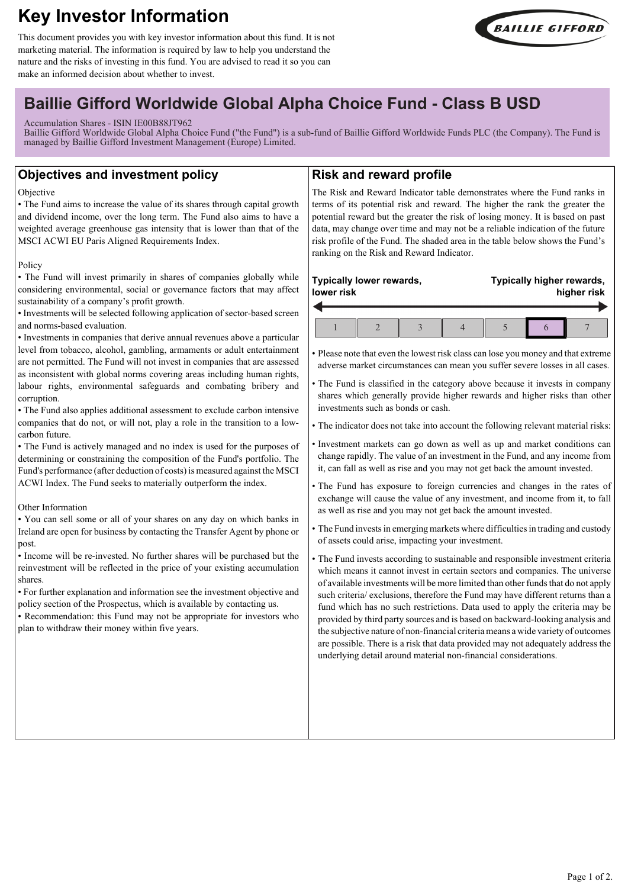# **Key Investor Information**

This document provides you with key investor information about this fund. It is not marketing material. The information is required by law to help you understand the nature and the risks of investing in this fund. You are advised to read it so you can make an informed decision about whether to invest.



## **Baillie Gifford Worldwide Global Alpha Choice Fund - Class B USD**

Accumulation Shares - ISIN IE00B88JT962

Baillie Gifford Worldwide Global Alpha Choice Fund ("the Fund") is a sub-fund of Baillie Gifford Worldwide Funds PLC (the Company). The Fund is managed by Baillie Gifford Investment Management (Europe) Limited.

## **Objectives and investment policy**

#### **Objective**

• The Fund aims to increase the value of its shares through capital growth and dividend income, over the long term. The Fund also aims to have a weighted average greenhouse gas intensity that is lower than that of the MSCI ACWI EU Paris Aligned Requirements Index.

#### Policy

• The Fund will invest primarily in shares of companies globally while considering environmental, social or governance factors that may affect sustainability of a company's profit growth.

• Investments will be selected following application of sector-based screen and norms-based evaluation.

• Investments in companies that derive annual revenues above a particular level from tobacco, alcohol, gambling, armaments or adult entertainment are not permitted. The Fund will not invest in companies that are assessed as inconsistent with global norms covering areas including human rights, labour rights, environmental safeguards and combating bribery and corruption.

• The Fund also applies additional assessment to exclude carbon intensive companies that do not, or will not, play a role in the transition to a lowcarbon future.

• The Fund is actively managed and no index is used for the purposes of determining or constraining the composition of the Fund's portfolio. The Fund's performance (after deduction of costs) is measured against the MSCI ACWI Index. The Fund seeks to materially outperform the index.

### Other Information

• You can sell some or all of your shares on any day on which banks in Ireland are open for business by contacting the Transfer Agent by phone or post.

• Income will be re-invested. No further shares will be purchased but the reinvestment will be reflected in the price of your existing accumulation shares.

• For further explanation and information see the investment objective and policy section of the Prospectus, which is available by contacting us.

• Recommendation: this Fund may not be appropriate for investors who plan to withdraw their money within five years.

## **Risk and reward profile**

The Risk and Reward Indicator table demonstrates where the Fund ranks in terms of its potential risk and reward. The higher the rank the greater the potential reward but the greater the risk of losing money. It is based on past data, may change over time and may not be a reliable indication of the future risk profile of the Fund. The shaded area in the table below shows the Fund's ranking on the Risk and Reward Indicator.

## **Typically lower rewards, lower risk**

**Typically higher rewards, higher risk**

• Please note that even the lowest risk class can lose you money and that extreme adverse market circumstances can mean you suffer severe losses in all cases.

• The Fund is classified in the category above because it invests in company shares which generally provide higher rewards and higher risks than other investments such as bonds or cash.

• The indicator does not take into account the following relevant material risks:

- Investment markets can go down as well as up and market conditions can change rapidly. The value of an investment in the Fund, and any income from it, can fall as well as rise and you may not get back the amount invested.
- The Fund has exposure to foreign currencies and changes in the rates of exchange will cause the value of any investment, and income from it, to fall as well as rise and you may not get back the amount invested.
- The Fund invests in emerging markets where difficulties in trading and custody of assets could arise, impacting your investment.

• The Fund invests according to sustainable and responsible investment criteria which means it cannot invest in certain sectors and companies. The universe of available investments will be more limited than other funds that do not apply such criteria/ exclusions, therefore the Fund may have different returns than a fund which has no such restrictions. Data used to apply the criteria may be provided by third party sources and is based on backward-looking analysis and the subjective nature of non-financial criteria means a wide variety of outcomes are possible. There is a risk that data provided may not adequately address the underlying detail around material non-financial considerations.